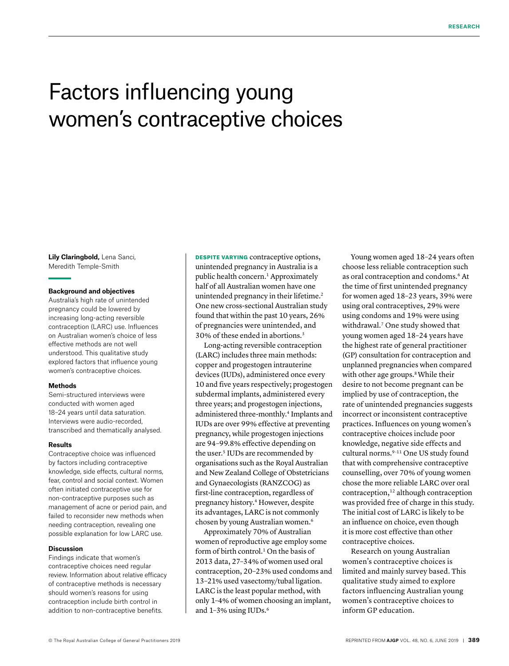# Factors influencing young women's contraceptive choices

**Lily Claringbold,** Lena Sanci, Meredith Temple-Smith

# **Background and objectives**

Australia's high rate of unintended pregnancy could be lowered by increasing long-acting reversible contraception (LARC) use. Influences on Australian women's choice of less effective methods are not well understood. This qualitative study explored factors that influence young women's contraceptive choices.

#### **Methods**

Semi-structured interviews were conducted with women aged 18–24 years until data saturation. Interviews were audio-recorded, transcribed and thematically analysed.

#### **Results**

Contraceptive choice was influenced by factors including contraceptive knowledge, side effects, cultural norms, fear, control and social context. Women often initiated contraceptive use for non-contraceptive purposes such as management of acne or period pain, and failed to reconsider new methods when needing contraception, revealing one possible explanation for low LARC use.

## **Discussion**

Findings indicate that women's contraceptive choices need regular review. Information about relative efficacy of contraceptive methods is necessary should women's reasons for using contraception include birth control in addition to non-contraceptive benefits.

DESPITE VARYING contraceptive options, unintended pregnancy in Australia is a public health concern.1 Approximately half of all Australian women have one unintended pregnancy in their lifetime.<sup>2</sup> One new cross-sectional Australian study found that within the past 10 years, 26% of pregnancies were unintended, and 30% of these ended in abortions.3

Long-acting reversible contraception (LARC) includes three main methods: copper and progestogen intrauterine devices (IUDs), administered once every 10 and five years respectively; progestogen subdermal implants, administered every three years; and progestogen injections, administered three-monthly.4 Implants and IUDs are over 99% effective at preventing pregnancy, while progestogen injections are 94–99.8% effective depending on the user.<sup>5</sup> IUDs are recommended by organisations such as the Royal Australian and New Zealand College of Obstetricians and Gynaecologists (RANZCOG) as first-line contraception, regardless of pregnancy history.4 However, despite its advantages, LARC is not commonly chosen by young Australian women.6

Approximately 70% of Australian women of reproductive age employ some form of birth control.<sup>1</sup> On the basis of 2013 data, 27–34% of women used oral contraception, 20–23% used condoms and 13–21% used vasectomy/tubal ligation. LARC is the least popular method, with only 1–4% of women choosing an implant, and 1-3% using IUDs.<sup>6</sup>

Young women aged 18–24 years often choose less reliable contraception such as oral contraception and condoms.6 At the time of first unintended pregnancy for women aged 18–23 years, 39% were using oral contraceptives, 29% were using condoms and 19% were using withdrawal.7 One study showed that young women aged 18–24 years have the highest rate of general practitioner (GP) consultation for contraception and unplanned pregnancies when compared with other age groups.<sup>8</sup> While their desire to not become pregnant can be implied by use of contraception, the rate of unintended pregnancies suggests incorrect or inconsistent contraceptive practices. Influences on young women's contraceptive choices include poor knowledge, negative side effects and cultural norms.<sup>9-11</sup> One US study found that with comprehensive contraceptive counselling, over 70% of young women chose the more reliable LARC over oral contraception,12 although contraception was provided free of charge in this study. The initial cost of LARC is likely to be an influence on choice, even though it is more cost effective than other contraceptive choices.

Research on young Australian women's contraceptive choices is limited and mainly survey based. This qualitative study aimed to explore factors influencing Australian young women's contraceptive choices to inform GP education.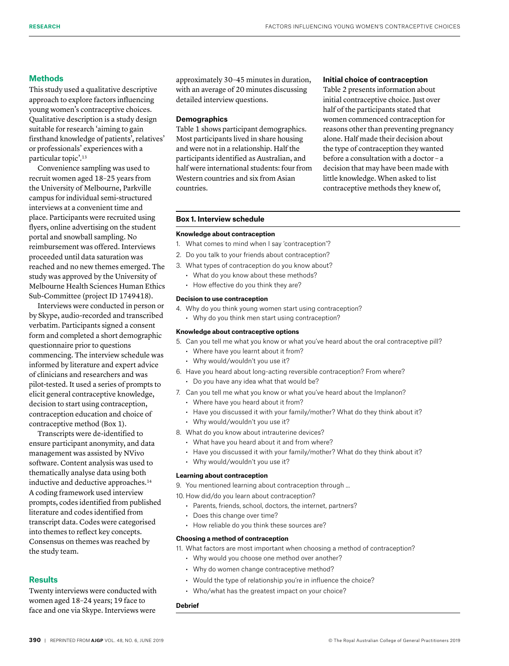# **Methods**

This study used a qualitative descriptive approach to explore factors influencing young women's contraceptive choices. Qualitative description is a study design suitable for research 'aiming to gain firsthand knowledge of patients', relatives' or professionals' experiences with a particular topic'.13

Convenience sampling was used to recruit women aged 18–25 years from the University of Melbourne, Parkville campus for individual semi-structured interviews at a convenient time and place. Participants were recruited using flyers, online advertising on the student portal and snowball sampling. No reimbursement was offered. Interviews proceeded until data saturation was reached and no new themes emerged. The study was approved by the University of Melbourne Health Sciences Human Ethics Sub-Committee (project ID 1749418).

Interviews were conducted in person or by Skype, audio-recorded and transcribed verbatim. Participants signed a consent form and completed a short demographic questionnaire prior to questions commencing. The interview schedule was informed by literature and expert advice of clinicians and researchers and was pilot-tested. It used a series of prompts to elicit general contraceptive knowledge, decision to start using contraception, contraception education and choice of contraceptive method (Box 1).

Transcripts were de-identified to ensure participant anonymity, and data management was assisted by NVivo software. Content analysis was used to thematically analyse data using both inductive and deductive approaches.<sup>14</sup> A coding framework used interview prompts, codes identified from published literature and codes identified from transcript data. Codes were categorised into themes to reflect key concepts. Consensus on themes was reached by the study team.

# **Results**

Twenty interviews were conducted with women aged 18–24 years; 19 face to face and one via Skype. Interviews were

approximately 30–45 minutes in duration, with an average of 20 minutes discussing detailed interview questions.

## **Demographics**

Table 1 shows participant demographics. Most participants lived in share housing and were not in a relationship. Half the participants identified as Australian, and half were international students: four from Western countries and six from Asian countries.

# **Initial choice of contraception**

Table 2 presents information about initial contraceptive choice. Just over half of the participants stated that women commenced contraception for reasons other than preventing pregnancy alone. Half made their decision about the type of contraception they wanted before a consultation with a doctor – a decision that may have been made with little knowledge. When asked to list contraceptive methods they knew of,

## **Box 1. Interview schedule**

## **Knowledge about contraception**

- 1. What comes to mind when I say 'contraception'?
- 2. Do you talk to your friends about contraception?
- 3. What types of contraception do you know about?
	- What do you know about these methods?
	- How effective do you think they are?

#### **Decision to use contraception**

- 4. Why do you think young women start using contraception?
	- Why do you think men start using contraception?

## **Knowledge about contraceptive options**

- 5. Can you tell me what you know or what you've heard about the oral contraceptive pill?
	- Where have you learnt about it from?
	- Why would/wouldn't you use it?
- 6. Have you heard about long-acting reversible contraception? From where?
	- Do you have any idea what that would be?
- 7. Can you tell me what you know or what you've heard about the Implanon?
	- Where have you heard about it from?
	- Have you discussed it with your family/mother? What do they think about it?
	- Why would/wouldn't you use it?
- 8. What do you know about intrauterine devices?
	- What have you heard about it and from where?
	- Have you discussed it with your family/mother? What do they think about it?
	- Why would/wouldn't you use it?

#### **Learning about contraception**

9. You mentioned learning about contraception through ...

- 10. How did/do you learn about contraception?
	- Parents, friends, school, doctors, the internet, partners?
	- Does this change over time?
	- How reliable do you think these sources are?

#### **Choosing a method of contraception**

- 11. What factors are most important when choosing a method of contraception?
	- Why would you choose one method over another?
	- Why do women change contraceptive method?
	- Would the type of relationship you're in influence the choice?
	- Who/what has the greatest impact on your choice?

## **Debrief**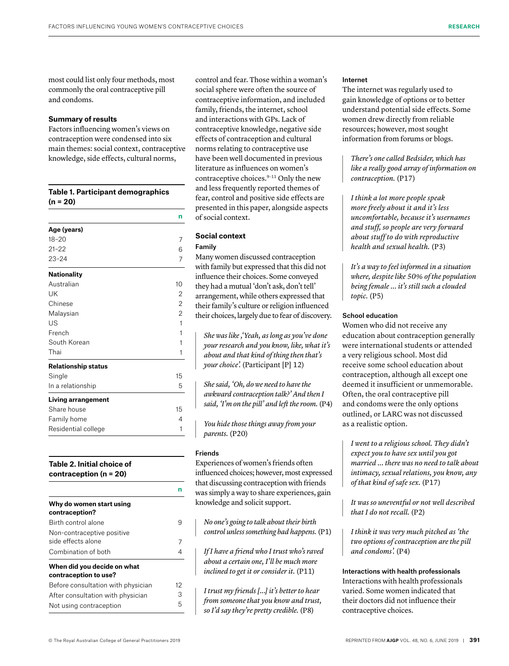most could list only four methods, most commonly the oral contraceptive pill and condoms.

# **Summary of results**

Factors influencing women's views on contraception were condensed into six main themes: social context, contraceptive knowledge, side effects, cultural norms,

| Table 1. Participant demographics<br>$(n = 20)$ |                |
|-------------------------------------------------|----------------|
|                                                 | n              |
| Age (years)                                     |                |
| $18 - 20$                                       | 7              |
| $21 - 22$                                       | 6              |
| $23 - 24$                                       | 7              |
| <b>Nationality</b>                              |                |
| Australian                                      | 10             |
| <b>IJK</b>                                      | 2              |
| Chinese                                         | $\overline{2}$ |
| Malaysian                                       | 2              |
| US                                              | $\mathbf{1}$   |
| French                                          | 1              |
| South Korean                                    | 1              |
| Thai                                            | 1              |
| <b>Relationship status</b>                      |                |
| Single                                          | 15             |
| In a relationship                               | 5              |
| <b>Living arrangement</b>                       |                |
| Share house                                     | 15             |
| Family home                                     | 4              |
| Residential college                             | 1              |
|                                                 |                |

# **Table 2. Initial choice of contraception (n = 20)**

| Why do women start using<br>contraception?           |    |
|------------------------------------------------------|----|
| Birth control alone                                  | 9  |
| Non-contraceptive positive<br>side effects alone     |    |
| Combination of both                                  |    |
| When did you decide on what<br>contraception to use? |    |
| Before consultation with physician                   | 12 |
| After consultation with physician                    | З  |
| Not using contraception                              | 5  |

control and fear. Those within a woman's social sphere were often the source of contraceptive information, and included family, friends, the internet, school and interactions with GPs. Lack of contraceptive knowledge, negative side effects of contraception and cultural norms relating to contraceptive use have been well documented in previous literature as influences on women's contraceptive choices.<sup>9-11</sup> Only the new and less frequently reported themes of fear, control and positive side effects are presented in this paper, alongside aspects of social context.

# **Social context**

# Family

Many women discussed contraception with family but expressed that this did not influence their choices. Some conveyed they had a mutual 'don't ask, don't tell' arrangement, while others expressed that their family's culture or religion influenced their choices, largely due to fear of discovery.

*She was like ,'Yeah, as long as you've done your research and you know, like, what it's about and that kind of thing then that's your choice'.* (Participant [P] 12)

*She said, 'Oh, do we need to have the awkward contraception talk?' And then I said, 'I'm on the pill' and left the room.* (P4)

*You hide those things away from your parents.* (P20)

# Friends

**n**

Experiences of women's friends often influenced choices; however, most expressed that discussing contraception with friends was simply a way to share experiences, gain knowledge and solicit support.

*No one's going to talk about their birth control unless something bad happens.* (P1)

*If I have a friend who I trust who's raved about a certain one, I'll be much more inclined to get it or consider it.* (P11)

*I trust my friends [...] it's better to hear from someone that you know and trust, so I'd say they're pretty credible.* (P8)

## Internet

The internet was regularly used to gain knowledge of options or to better understand potential side effects. Some women drew directly from reliable resources; however, most sought information from forums or blogs.

*There's one called Bedsider, which has like a really good array of information on contraception.* (P17)

*I think a lot more people speak more freely about it and it's less uncomfortable, because it's usernames and stuff, so people are very forward about stuff to do with reproductive health and sexual health.* (P3)

*It's a way to feel informed in a situation where, despite like 50% of the population being female ... it's still such a clouded topic.* (P5)

# School education

Women who did not receive any education about contraception generally were international students or attended a very religious school. Most did receive some school education about contraception, although all except one deemed it insufficient or unmemorable. Often, the oral contraceptive pill and condoms were the only options outlined, or LARC was not discussed as a realistic option.

*I went to a religious school. They didn't expect you to have sex until you got married ... there was no need to talk about intimacy, sexual relations, you know, any of that kind of safe sex.* (P17)

*It was so uneventful or not well described that I do not recall.* (P2)

*I think it was very much pitched as 'the two options of contraception are the pill and condoms'.* (P4)

Interactions with health professionals Interactions with health professionals varied. Some women indicated that their doctors did not influence their contraceptive choices.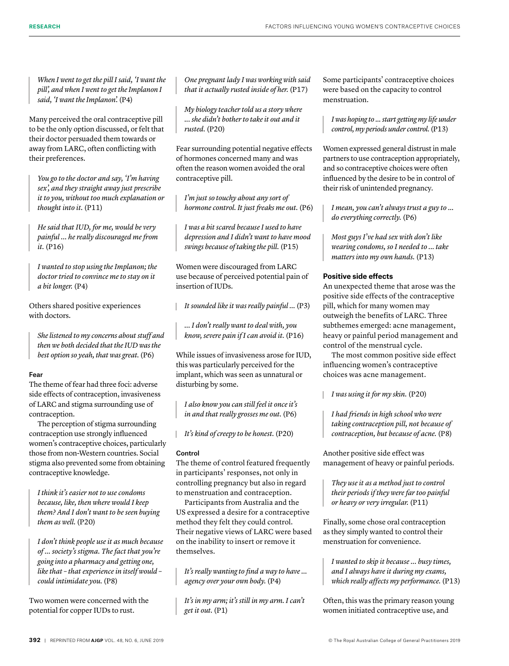*When I went to get the pill I said, 'I want the pill', and when I went to get the Implanon I said, 'I want the Implanon'.* (P4)

Many perceived the oral contraceptive pill to be the only option discussed, or felt that their doctor persuaded them towards or away from LARC, often conflicting with their preferences.

*You go to the doctor and say, 'I'm having sex', and they straight away just prescribe it to you, without too much explanation or thought into it.* (P11)

*He said that IUD, for me, would be very painful … he really discouraged me from it.* (P16)

*I wanted to stop using the Implanon; the doctor tried to convince me to stay on it a bit longer.* (P4)

Others shared positive experiences with doctors.

*She listened to my concerns about stuff and then we both decided that the IUD was the best option so yeah, that was great.* (P6)

# Fear

The theme of fear had three foci: adverse side effects of contraception, invasiveness of LARC and stigma surrounding use of contraception.

The perception of stigma surrounding contraception use strongly influenced women's contraceptive choices, particularly those from non-Western countries. Social stigma also prevented some from obtaining contraceptive knowledge.

*I think it's easier not to use condoms because, like, then where would I keep them? And I don't want to be seen buying them as well.* (P20)

*I don't think people use it as much because of ... society's stigma. The fact that you're going into a pharmacy and getting one, like that – that experience in itself would – could intimidate you.* (P8)

Two women were concerned with the potential for copper IUDs to rust.

*One pregnant lady I was working with said that it actually rusted inside of her.* (P17)

*My biology teacher told us a story where ... she didn't bother to take it out and it rusted.* (P20)

Fear surrounding potential negative effects of hormones concerned many and was often the reason women avoided the oral contraceptive pill.

*I'm just so touchy about any sort of hormone control. It just freaks me out.* (P6)

*I was a bit scared because I used to have depression and I didn't want to have mood swings because of taking the pill.* (P15)

Women were discouraged from LARC use because of perceived potential pain of insertion of IUDs.

*It sounded like it was really painful ...* (P3)

*… I don't really want to deal with, you know, severe pain if I can avoid it.* (P16)

While issues of invasiveness arose for IUD, this was particularly perceived for the implant, which was seen as unnatural or disturbing by some.

*I also know you can still feel it once it's in and that really grosses me out.* (P6)

*It's kind of creepy to be honest.* (P20)

# Control

The theme of control featured frequently in participants' responses, not only in controlling pregnancy but also in regard to menstruation and contraception.

Participants from Australia and the US expressed a desire for a contraceptive method they felt they could control. Their negative views of LARC were based on the inability to insert or remove it themselves.

*It's really wanting to find a way to have ... agency over your own body.* (P4)

*It's in my arm; it's still in my arm. I can't get it out.* (P1)

Some participants' contraceptive choices were based on the capacity to control menstruation.

*I was hoping to ... start getting my life under control, my periods under control.* (P13)

Women expressed general distrust in male partners to use contraception appropriately, and so contraceptive choices were often influenced by the desire to be in control of their risk of unintended pregnancy.

*I mean, you can't always trust a guy to ... do everything correctly.* (P6)

*Most guys I've had sex with don't like wearing condoms, so I needed to ... take matters into my own hands.* (P13)

# **Positive side effects**

An unexpected theme that arose was the positive side effects of the contraceptive pill, which for many women may outweigh the benefits of LARC. Three subthemes emerged: acne management, heavy or painful period management and control of the menstrual cycle.

The most common positive side effect influencing women's contraceptive choices was acne management.

*I was using it for my skin.* (P20)

*I had friends in high school who were taking contraception pill, not because of contraception, but because of acne.* (P8)

Another positive side effect was management of heavy or painful periods.

*They use it as a method just to control their periods if they were far too painful or heavy or very irregular.* (P11)

Finally, some chose oral contraception as they simply wanted to control their menstruation for convenience.

*I wanted to skip it because ... busy times, and I always have it during my exams, which really affects my performance.* (P13)

Often, this was the primary reason young women initiated contraceptive use, and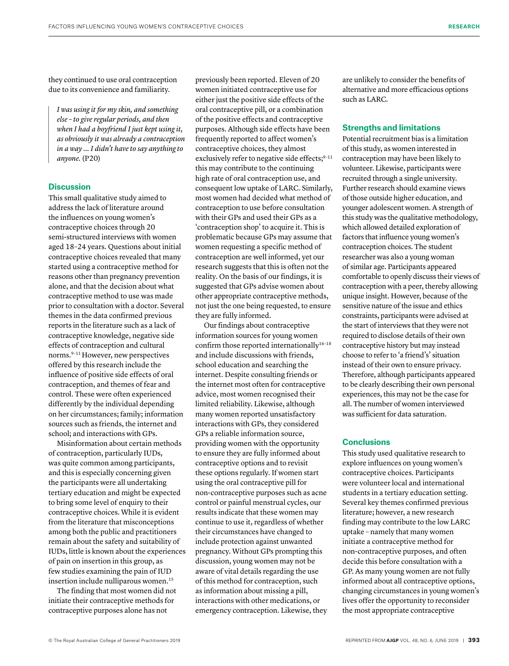they continued to use oral contraception due to its convenience and familiarity.

*I was using it for my skin, and something else – to give regular periods, and then when I had a boyfriend I just kept using it, as obviously it was already a contraception in a way … I didn't have to say anything to anyone.* (P20)

# **Discussion**

This small qualitative study aimed to address the lack of literature around the influences on young women's contraceptive choices through 20 semi-structured interviews with women aged 18–24 years. Questions about initial contraceptive choices revealed that many started using a contraceptive method for reasons other than pregnancy prevention alone, and that the decision about what contraceptive method to use was made prior to consultation with a doctor. Several themes in the data confirmed previous reports in the literature such as a lack of contraceptive knowledge, negative side effects of contraception and cultural norms.9–11 However, new perspectives offered by this research include the influence of positive side effects of oral contraception, and themes of fear and control. These were often experienced differently by the individual depending on her circumstances; family; information sources such as friends, the internet and school; and interactions with GPs.

Misinformation about certain methods of contraception, particularly IUDs, was quite common among participants, and this is especially concerning given the participants were all undertaking tertiary education and might be expected to bring some level of enquiry to their contraceptive choices. While it is evident from the literature that misconceptions among both the public and practitioners remain about the safety and suitability of IUDs, little is known about the experiences of pain on insertion in this group, as few studies examining the pain of IUD insertion include nulliparous women.<sup>15</sup>

The finding that most women did not initiate their contraceptive methods for contraceptive purposes alone has not

previously been reported. Eleven of 20 women initiated contraceptive use for either just the positive side effects of the oral contraceptive pill, or a combination of the positive effects and contraceptive purposes. Although side effects have been frequently reported to affect women's contraceptive choices, they almost exclusively refer to negative side effects;<sup>9-11</sup> this may contribute to the continuing high rate of oral contraception use, and consequent low uptake of LARC. Similarly, most women had decided what method of contraception to use before consultation with their GPs and used their GPs as a 'contraception shop' to acquire it. This is problematic because GPs may assume that women requesting a specific method of contraception are well informed, yet our research suggests that this is often not the reality. On the basis of our findings, it is suggested that GPs advise women about other appropriate contraceptive methods, not just the one being requested, to ensure they are fully informed.

Our findings about contraceptive information sources for young women confirm those reported internationally<sup>16-18</sup> and include discussions with friends, school education and searching the internet. Despite consulting friends or the internet most often for contraceptive advice, most women recognised their limited reliability. Likewise, although many women reported unsatisfactory interactions with GPs, they considered GPs a reliable information source, providing women with the opportunity to ensure they are fully informed about contraceptive options and to revisit these options regularly. If women start using the oral contraceptive pill for non-contraceptive purposes such as acne control or painful menstrual cycles, our results indicate that these women may continue to use it, regardless of whether their circumstances have changed to include protection against unwanted pregnancy. Without GPs prompting this discussion, young women may not be aware of vital details regarding the use of this method for contraception, such as information about missing a pill, interactions with other medications, or emergency contraception. Likewise, they

are unlikely to consider the benefits of alternative and more efficacious options such as LARC.

# **Strengths and limitations**

Potential recruitment bias is a limitation of this study, as women interested in contraception may have been likely to volunteer. Likewise, participants were recruited through a single university. Further research should examine views of those outside higher education, and younger adolescent women. A strength of this study was the qualitative methodology, which allowed detailed exploration of factors that influence young women's contraception choices. The student researcher was also a young woman of similar age. Participants appeared comfortable to openly discuss their views of contraception with a peer, thereby allowing unique insight. However, because of the sensitive nature of the issue and ethics constraints, participants were advised at the start of interviews that they were not required to disclose details of their own contraceptive history but may instead choose to refer to 'a friend's' situation instead of their own to ensure privacy. Therefore, although participants appeared to be clearly describing their own personal experiences, this may not be the case for all. The number of women interviewed was sufficient for data saturation.

# **Conclusions**

This study used qualitative research to explore influences on young women's contraceptive choices. Participants were volunteer local and international students in a tertiary education setting. Several key themes confirmed previous literature; however, a new research finding may contribute to the low LARC uptake – namely that many women initiate a contraceptive method for non-contraceptive purposes, and often decide this before consultation with a GP. As many young women are not fully informed about all contraceptive options, changing circumstances in young women's lives offer the opportunity to reconsider the most appropriate contraceptive